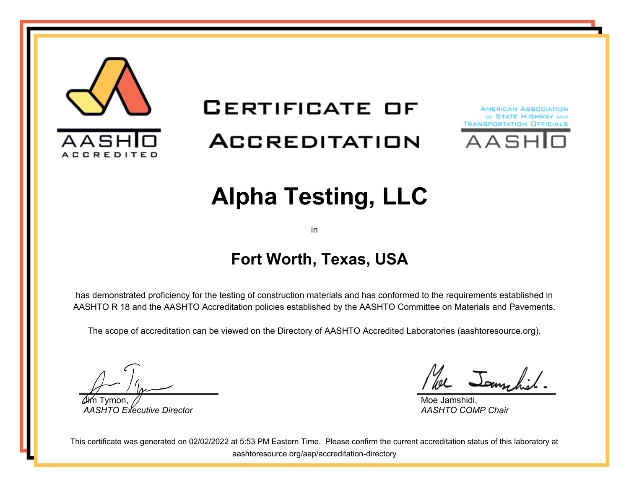

# **CERTIFICATE OF** ACCREDITATION





# **Alpha Testing, LLC**

in

## **Fort Worth, Texas, USA**

has demonstrated proficiency for the testing of construction materials and has conformed to the requirements established in AASHTO R 18 and the AASHTO Accreditation policies established by the AASHTO Committee on Materials and Pavements.

The scope of accreditation can be viewed on the Directory of AASHTO Accredited Laboratories (aashtoresource.org).

Jim Tymon, *AASHTO Executive Director*

We Jammhil

Moe Jamshidi, *AASHTO COMP Chair*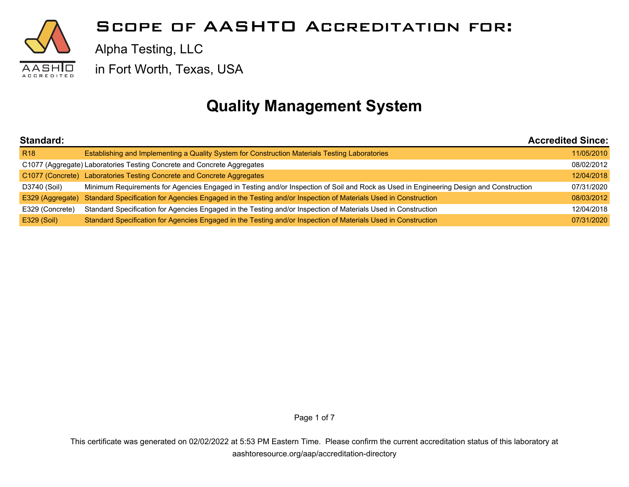

Alpha Testing, LLC

in Fort Worth, Texas, USA

## **Quality Management System**

| Standard:        |                                                                                                                                        | <b>Accredited Since:</b> |
|------------------|----------------------------------------------------------------------------------------------------------------------------------------|--------------------------|
| <b>R18</b>       | Establishing and Implementing a Quality System for Construction Materials Testing Laboratories                                         | 11/05/2010               |
|                  | C1077 (Aggregate) Laboratories Testing Concrete and Concrete Aggregates                                                                | 08/02/2012               |
|                  | C1077 (Concrete) Laboratories Testing Concrete and Concrete Aggregates                                                                 | 12/04/2018               |
| D3740 (Soil)     | Minimum Requirements for Agencies Engaged in Testing and/or Inspection of Soil and Rock as Used in Engineering Design and Construction | 07/31/2020               |
| E329 (Aggregate) | Standard Specification for Agencies Engaged in the Testing and/or Inspection of Materials Used in Construction                         | 08/03/2012               |
| E329 (Concrete)  | Standard Specification for Agencies Engaged in the Testing and/or Inspection of Materials Used in Construction                         | 12/04/2018               |
| E329 (Soil)      | Standard Specification for Agencies Engaged in the Testing and/or Inspection of Materials Used in Construction                         | 07/31/2020               |

Page 1 of 7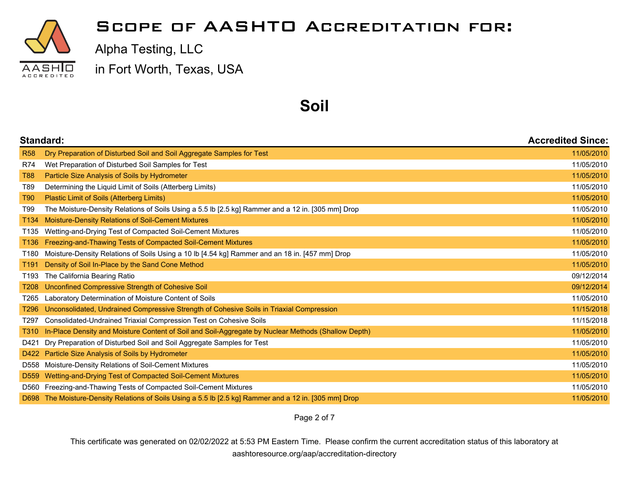

Alpha Testing, LLC

in Fort Worth, Texas, USA

#### **Soil**

| Standard:        |                                                                                                     | <b>Accredited Since:</b> |
|------------------|-----------------------------------------------------------------------------------------------------|--------------------------|
| <b>R58</b>       | Dry Preparation of Disturbed Soil and Soil Aggregate Samples for Test                               | 11/05/2010               |
| <b>R74</b>       | Wet Preparation of Disturbed Soil Samples for Test                                                  | 11/05/2010               |
| T88              | Particle Size Analysis of Soils by Hydrometer                                                       | 11/05/2010               |
| T89              | Determining the Liquid Limit of Soils (Atterberg Limits)                                            | 11/05/2010               |
| T90              | Plastic Limit of Soils (Atterberg Limits)                                                           | 11/05/2010               |
| T99              | The Moisture-Density Relations of Soils Using a 5.5 lb [2.5 kg] Rammer and a 12 in. [305 mm] Drop   | 11/05/2010               |
| T134             | Moisture-Density Relations of Soil-Cement Mixtures                                                  | 11/05/2010               |
| T <sub>135</sub> | Wetting-and-Drying Test of Compacted Soil-Cement Mixtures                                           | 11/05/2010               |
| T136             | Freezing-and-Thawing Tests of Compacted Soil-Cement Mixtures                                        | 11/05/2010               |
| T180             | Moisture-Density Relations of Soils Using a 10 lb [4.54 kg] Rammer and an 18 in. [457 mm] Drop      | 11/05/2010               |
| T191             | Density of Soil In-Place by the Sand Cone Method                                                    | 11/05/2010               |
| T193             | The California Bearing Ratio                                                                        | 09/12/2014               |
| T208             | Unconfined Compressive Strength of Cohesive Soil                                                    | 09/12/2014               |
| T265             | Laboratory Determination of Moisture Content of Soils                                               | 11/05/2010               |
| T296             | Unconsolidated, Undrained Compressive Strength of Cohesive Soils in Triaxial Compression            | 11/15/2018               |
| T297             | Consolidated-Undrained Triaxial Compression Test on Cohesive Soils                                  | 11/15/2018               |
| T310             | In-Place Density and Moisture Content of Soil and Soil-Aggregate by Nuclear Methods (Shallow Depth) | 11/05/2010               |
| D421             | Dry Preparation of Disturbed Soil and Soil Aggregate Samples for Test                               | 11/05/2010               |
|                  | D422 Particle Size Analysis of Soils by Hydrometer                                                  | 11/05/2010               |
| D558             | Moisture-Density Relations of Soil-Cement Mixtures                                                  | 11/05/2010               |
| D <sub>559</sub> | Wetting-and-Drying Test of Compacted Soil-Cement Mixtures                                           | 11/05/2010               |
| D560             | Freezing-and-Thawing Tests of Compacted Soil-Cement Mixtures                                        | 11/05/2010               |
| D698             | The Moisture-Density Relations of Soils Using a 5.5 lb [2.5 kg] Rammer and a 12 in. [305 mm] Drop   | 11/05/2010               |

Page 2 of 7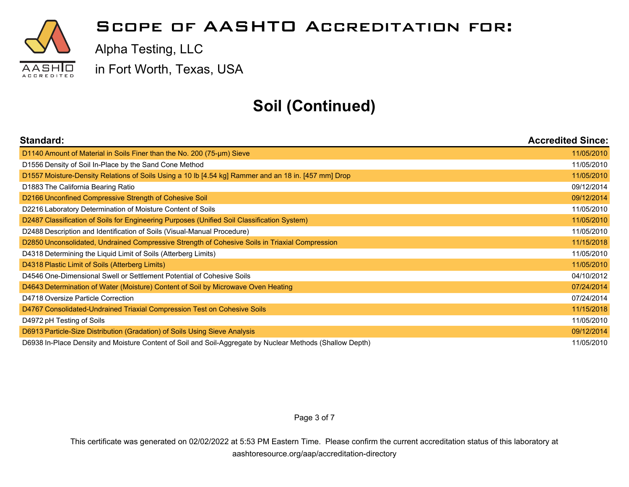

Alpha Testing, LLC

in Fort Worth, Texas, USA

# **Soil (Continued)**

| Standard:                                                                                                 | <b>Accredited Since:</b> |
|-----------------------------------------------------------------------------------------------------------|--------------------------|
| D1140 Amount of Material in Soils Finer than the No. 200 (75-um) Sieve                                    | 11/05/2010               |
| D1556 Density of Soil In-Place by the Sand Cone Method                                                    | 11/05/2010               |
| D1557 Moisture-Density Relations of Soils Using a 10 lb [4.54 kg] Rammer and an 18 in. [457 mm] Drop      | 11/05/2010               |
| D1883 The California Bearing Ratio                                                                        | 09/12/2014               |
| D2166 Unconfined Compressive Strength of Cohesive Soil                                                    | 09/12/2014               |
| D2216 Laboratory Determination of Moisture Content of Soils                                               | 11/05/2010               |
| D2487 Classification of Soils for Engineering Purposes (Unified Soil Classification System)               | 11/05/2010               |
| D2488 Description and Identification of Soils (Visual-Manual Procedure)                                   | 11/05/2010               |
| D2850 Unconsolidated, Undrained Compressive Strength of Cohesive Soils in Triaxial Compression            | 11/15/2018               |
| D4318 Determining the Liquid Limit of Soils (Atterberg Limits)                                            | 11/05/2010               |
| D4318 Plastic Limit of Soils (Atterberg Limits)                                                           | 11/05/2010               |
| D4546 One-Dimensional Swell or Settlement Potential of Cohesive Soils                                     | 04/10/2012               |
| D4643 Determination of Water (Moisture) Content of Soil by Microwave Oven Heating                         | 07/24/2014               |
| D4718 Oversize Particle Correction                                                                        | 07/24/2014               |
| D4767 Consolidated-Undrained Triaxial Compression Test on Cohesive Soils                                  | 11/15/2018               |
| D4972 pH Testing of Soils                                                                                 | 11/05/2010               |
| D6913 Particle-Size Distribution (Gradation) of Soils Using Sieve Analysis                                | 09/12/2014               |
| D6938 In-Place Density and Moisture Content of Soil and Soil-Aggregate by Nuclear Methods (Shallow Depth) | 11/05/2010               |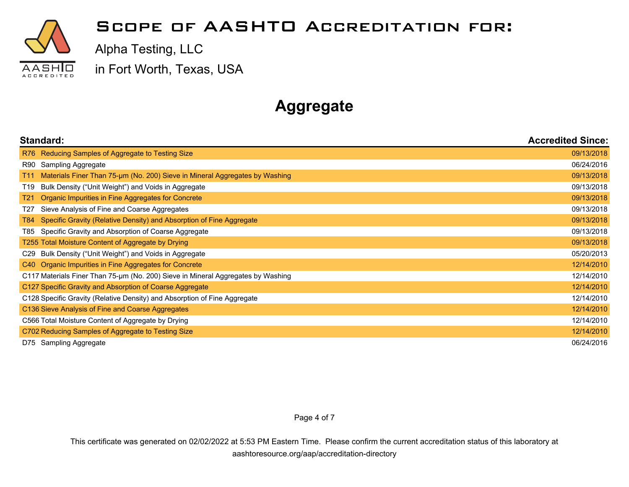

Alpha Testing, LLC

in Fort Worth, Texas, USA

# **Aggregate**

| Standard:                                                                                      | <b>Accredited Since:</b> |
|------------------------------------------------------------------------------------------------|--------------------------|
| R76 Reducing Samples of Aggregate to Testing Size                                              | 09/13/2018               |
| Sampling Aggregate<br>R90                                                                      | 06/24/2016               |
| Materials Finer Than 75-µm (No. 200) Sieve in Mineral Aggregates by Washing<br>T <sub>11</sub> | 09/13/2018               |
| Bulk Density ("Unit Weight") and Voids in Aggregate<br>T19                                     | 09/13/2018               |
| Organic Impurities in Fine Aggregates for Concrete<br>T21                                      | 09/13/2018               |
| Sieve Analysis of Fine and Coarse Aggregates<br>T27                                            | 09/13/2018               |
| Specific Gravity (Relative Density) and Absorption of Fine Aggregate<br>T84                    | 09/13/2018               |
| Specific Gravity and Absorption of Coarse Aggregate<br>T85                                     | 09/13/2018               |
| T255 Total Moisture Content of Aggregate by Drying                                             | 09/13/2018               |
| Bulk Density ("Unit Weight") and Voids in Aggregate<br>C29                                     | 05/20/2013               |
| C40 Organic Impurities in Fine Aggregates for Concrete                                         | 12/14/2010               |
| C117 Materials Finer Than 75-µm (No. 200) Sieve in Mineral Aggregates by Washing               | 12/14/2010               |
| C127 Specific Gravity and Absorption of Coarse Aggregate                                       | 12/14/2010               |
| C128 Specific Gravity (Relative Density) and Absorption of Fine Aggregate                      | 12/14/2010               |
| C136 Sieve Analysis of Fine and Coarse Aggregates                                              | 12/14/2010               |
| C566 Total Moisture Content of Aggregate by Drying                                             | 12/14/2010               |
| C702 Reducing Samples of Aggregate to Testing Size                                             | 12/14/2010               |
| D75 Sampling Aggregate                                                                         | 06/24/2016               |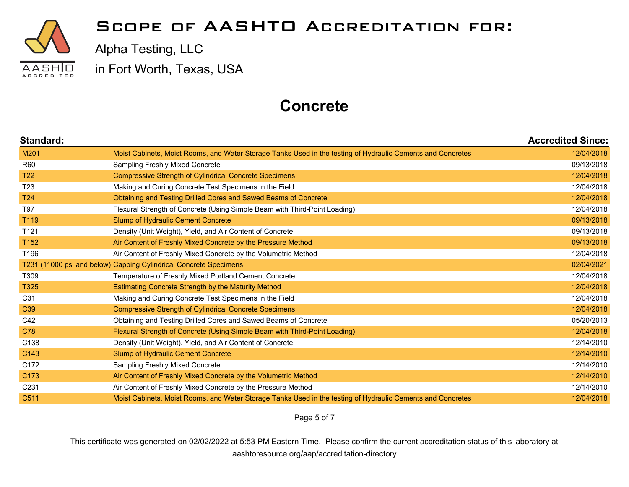

Alpha Testing, LLC

in Fort Worth, Texas, USA

## **Concrete**

| Standard:        |                                                                                                             | <b>Accredited Since:</b> |
|------------------|-------------------------------------------------------------------------------------------------------------|--------------------------|
| M201             | Moist Cabinets, Moist Rooms, and Water Storage Tanks Used in the testing of Hydraulic Cements and Concretes | 12/04/2018               |
| <b>R60</b>       | <b>Sampling Freshly Mixed Concrete</b>                                                                      | 09/13/2018               |
| <b>T22</b>       | <b>Compressive Strength of Cylindrical Concrete Specimens</b>                                               | 12/04/2018               |
| T <sub>23</sub>  | Making and Curing Concrete Test Specimens in the Field                                                      | 12/04/2018               |
| T <sub>24</sub>  | Obtaining and Testing Drilled Cores and Sawed Beams of Concrete                                             | 12/04/2018               |
| T97              | Flexural Strength of Concrete (Using Simple Beam with Third-Point Loading)                                  | 12/04/2018               |
| T119             | Slump of Hydraulic Cement Concrete                                                                          | 09/13/2018               |
| T121             | Density (Unit Weight), Yield, and Air Content of Concrete                                                   | 09/13/2018               |
| T152             | Air Content of Freshly Mixed Concrete by the Pressure Method                                                | 09/13/2018               |
| T196             | Air Content of Freshly Mixed Concrete by the Volumetric Method                                              | 12/04/2018               |
|                  | T231 (11000 psi and below) Capping Cylindrical Concrete Specimens                                           | 02/04/2021               |
| T309             | Temperature of Freshly Mixed Portland Cement Concrete                                                       | 12/04/2018               |
| T325             | Estimating Concrete Strength by the Maturity Method                                                         | 12/04/2018               |
| C31              | Making and Curing Concrete Test Specimens in the Field                                                      | 12/04/2018               |
| C <sub>39</sub>  | <b>Compressive Strength of Cylindrical Concrete Specimens</b>                                               | 12/04/2018               |
| C42              | Obtaining and Testing Drilled Cores and Sawed Beams of Concrete                                             | 05/20/2013               |
| C78              | Flexural Strength of Concrete (Using Simple Beam with Third-Point Loading)                                  | 12/04/2018               |
| C138             | Density (Unit Weight), Yield, and Air Content of Concrete                                                   | 12/14/2010               |
| C143             | Slump of Hydraulic Cement Concrete                                                                          | 12/14/2010               |
| C172             | Sampling Freshly Mixed Concrete                                                                             | 12/14/2010               |
| C173             | Air Content of Freshly Mixed Concrete by the Volumetric Method                                              | 12/14/2010               |
| C <sub>231</sub> | Air Content of Freshly Mixed Concrete by the Pressure Method                                                | 12/14/2010               |
| C511             | Moist Cabinets, Moist Rooms, and Water Storage Tanks Used in the testing of Hydraulic Cements and Concretes | 12/04/2018               |

Page 5 of 7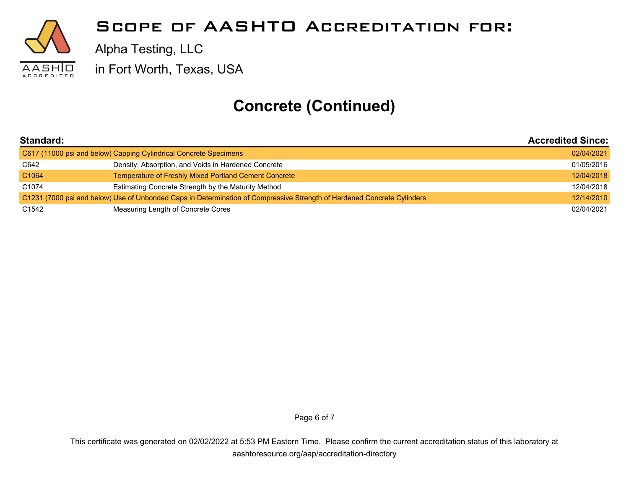

## **Concrete (Continued)**

| Standard:<br>C617 (11000 psi and below) Capping Cylindrical Concrete Specimens |                                                                                                                         | <b>Accredited Since:</b> |
|--------------------------------------------------------------------------------|-------------------------------------------------------------------------------------------------------------------------|--------------------------|
|                                                                                |                                                                                                                         | 02/04/2021               |
| C642                                                                           | Density, Absorption, and Voids in Hardened Concrete                                                                     | 01/05/2016               |
| C <sub>1064</sub>                                                              | Temperature of Freshly Mixed Portland Cement Concrete                                                                   | 12/04/2018               |
| C <sub>1074</sub>                                                              | Estimating Concrete Strength by the Maturity Method                                                                     | 12/04/2018               |
|                                                                                | C1231 (7000 psi and below) Use of Unbonded Caps in Determination of Compressive Strength of Hardened Concrete Cylinders | 12/14/2010               |
| C1542                                                                          | Measuring Length of Concrete Cores                                                                                      | 02/04/2021               |

Page 6 of 7